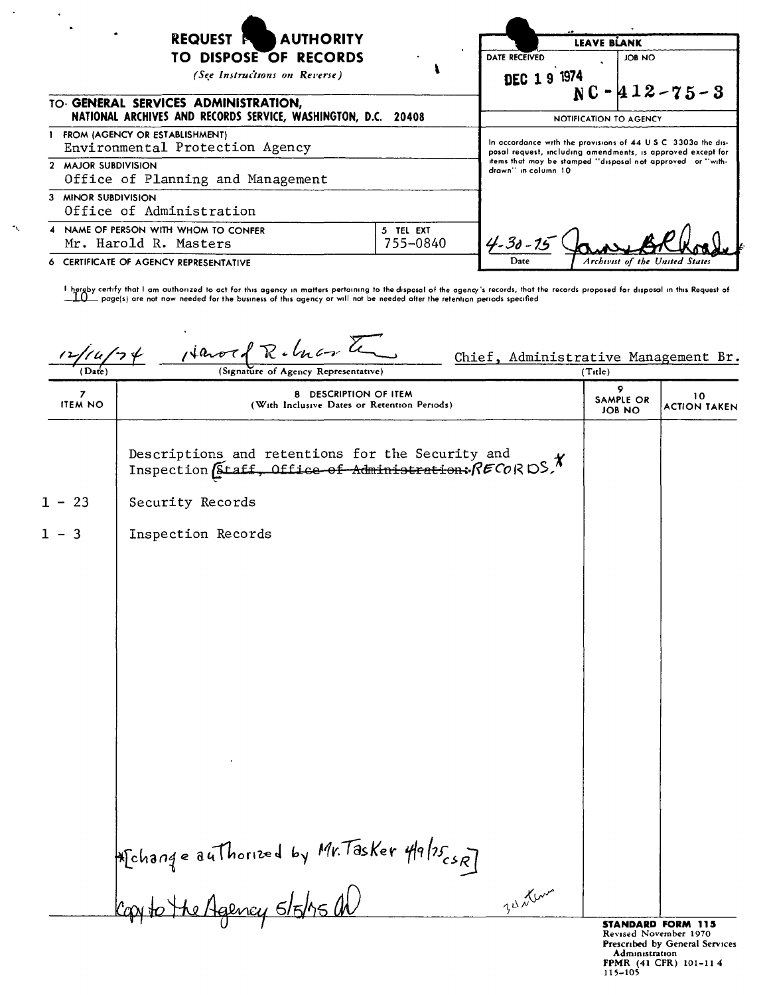| <b>AUTHORITY</b><br>REQUEST <sup>R</sup><br><b>TO DISPOSE OF RECORDS</b><br>(See Instructions on Reverse) | LEAVE BLANK<br>DATE RECEIVED<br><b>JOB NO</b><br>DEC 1 9 1974<br>$NC - 412 - 75 - 3$ |                                                                                                                                                                                                                   |                                |  |
|-----------------------------------------------------------------------------------------------------------|--------------------------------------------------------------------------------------|-------------------------------------------------------------------------------------------------------------------------------------------------------------------------------------------------------------------|--------------------------------|--|
| TO GENERAL SERVICES ADMINISTRATION,<br>NATIONAL ARCHIVES AND RECORDS SERVICE, WASHINGTON, D.C. 20408      |                                                                                      | NOTIFICATION TO AGENCY                                                                                                                                                                                            |                                |  |
| FROM (AGENCY OR ESTABLISHMENT)<br>Environmental Protection Agency                                         |                                                                                      | In accordance with the provisions of 44 U.S.C. 3303a the dis-<br>posal request, including amendments, is approved except for<br>items that may be stamped "disposal not approved or "with-<br>drawn" in column 10 |                                |  |
| 2 MAJOR SUBDIVISION<br>Office of Planning and Management                                                  |                                                                                      |                                                                                                                                                                                                                   |                                |  |
| 3 MINOR SUBDIVISION<br>Office of Administration                                                           |                                                                                      |                                                                                                                                                                                                                   |                                |  |
| 4 NAME OF PERSON WITH WHOM TO CONFER<br>Mr. Harold R. Masters                                             | 5 TEL EXT<br>755-0840                                                                | $4 - 30 - 15$                                                                                                                                                                                                     |                                |  |
| CERTIFICATE OF AGENCY REPRESENTATIVE                                                                      |                                                                                      | Date                                                                                                                                                                                                              | Archivist of the United States |  |

 $\mathbf{r}_\mathrm{L}$ 

I hereby certify that I am authorized to act for this agency in matters pertaining to the disposal of the agency's records, that the records proposed for disposal in this Request of  $\Box$  and the metal of this Request of t \_ page(s) are not now needed for the business of this agency or will not be needed ofter the retention periods specified

 $4a$ v $\tau$ Chief, Administrative Management Br.  $(Date)$ (Signature of Agency Representative) (Title)  $\overline{z}$ 8 DESCRIPTION OF ITEM  $10$ SAMPLE OR **ITEM NO** (With Inclusive Dates or Retention Periods) **ACTION TAKEN JOB NO** Descriptions and retentions for the Security and Inspection (Staff, Office of Administration:  $RECORDS$  )  $1 - 23$ Security Records  $1 - 3$ Inspection Records Hichange authorized by Mr. Tasker 49/25 (SR)<br>Copy to the Agency s/5/15 AD  $2^{u}$  der **STANDARD FORM 115** 

Revised November 1970 Prescribed by General Services Administration **FPMR** (41 CFR) 101-11 4<br>115-105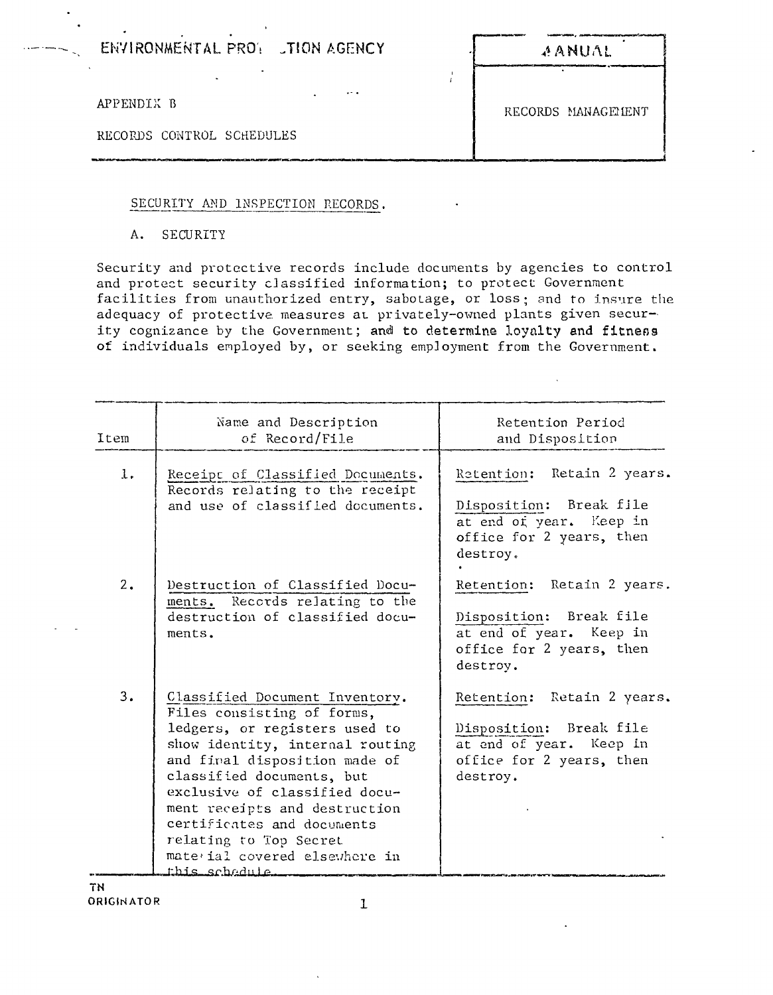ENVIRONMENTAL PROY TION AGENCY

APPENDIX B

RECORDS CONTROL SCHEDULES

### SECURITY AND INSPECTION RECORDS.

### A. SECURITY

Security and protective records include documents by agencies to control and protect security classified information; to protect Government facilities from unauthorized entry, sabotage, or loss; and to insure the adequacy of protective measures at privately-owned plants given security cognizance by the Government; and to determine loyalty and fitness of individuals employed by, or seeking employment from the Government.

 $\sim$ 

 $\frac{1}{l}$ 

| Item           | Name and Description<br>of Record/File                                                                                                                                                                                                                                                                                                                                      | Retention Period<br>and Disposition                                                                                      |
|----------------|-----------------------------------------------------------------------------------------------------------------------------------------------------------------------------------------------------------------------------------------------------------------------------------------------------------------------------------------------------------------------------|--------------------------------------------------------------------------------------------------------------------------|
| $\mathbf{l}$ . | Receipt of Classified Documents.<br>Records relating to the receipt<br>and use of classified documents.                                                                                                                                                                                                                                                                     | Retention: Retain 2 years.<br>Disposition: Break file<br>at end of year. Keep in<br>office for 2 years, then<br>destroy. |
| 2.             | Destruction of Classified Docu-<br>ments. Records relating to the<br>destruction of classified docu-<br>ments.                                                                                                                                                                                                                                                              | Retention: Retain 2 years.<br>Disposition: Break file<br>at end of year. Keep in<br>office for 2 years, then<br>destroy. |
| 3.             | Classified Document Inventory.<br>Files consisting of forms,<br>ledgers, or registers used to<br>show identity, internal routing<br>and firal disposition made of<br>classified documents, but<br>exclusive of classified docu-<br>ment receipts and destruction<br>certificates and documents<br>relating to Top Secret<br>mate ial covered elsewhere in<br>this schedule. | Retention: Retain 2 years.<br>Disposition: Break file<br>at end of year. Keep in<br>office for 2 years, then<br>destroy. |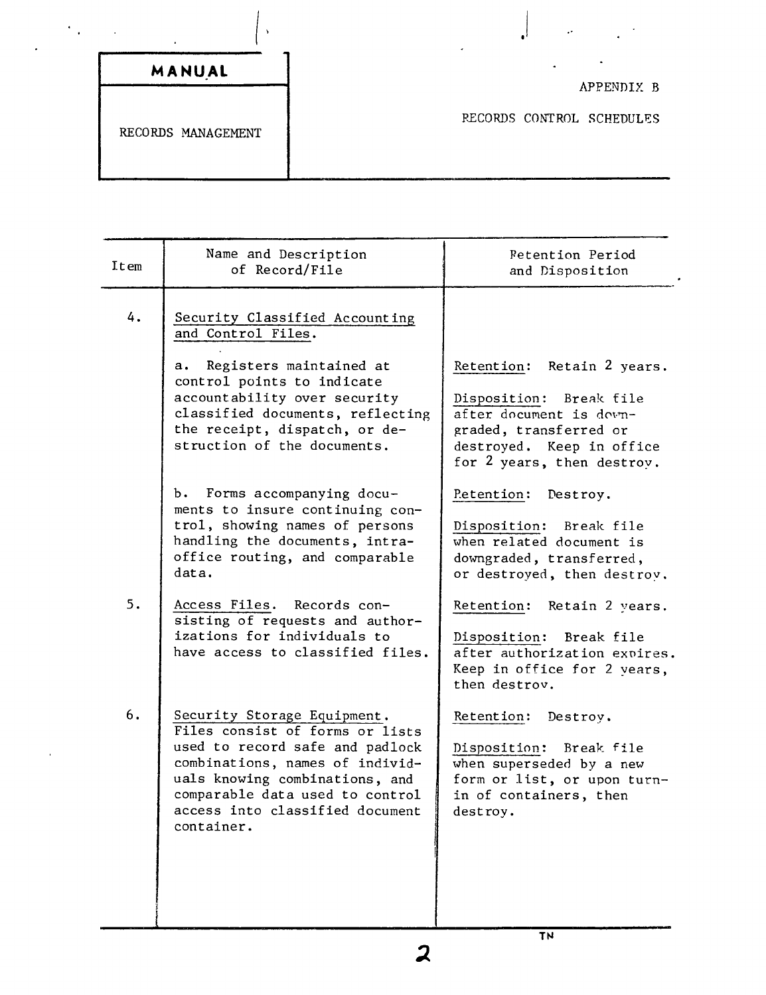|                    | ٠.                                      |
|--------------------|-----------------------------------------|
| MANUAL             |                                         |
| RECORDS MANAGEMENT | APPENDIX B<br>RECORDS CONTROL SCHEDULES |

| Item | Name and Description<br>of Record/File                                                                                                                                                                                                                     | <b>Petention Period</b><br>and Disposition                                                                                                                               |
|------|------------------------------------------------------------------------------------------------------------------------------------------------------------------------------------------------------------------------------------------------------------|--------------------------------------------------------------------------------------------------------------------------------------------------------------------------|
| 4.   | Security Classified Accounting<br>and Control Files.                                                                                                                                                                                                       |                                                                                                                                                                          |
|      | Registers maintained at<br>а.<br>control points to indicate<br>accountability over security<br>classified documents, reflecting<br>the receipt, dispatch, or de-<br>struction of the documents.                                                            | Retain 2 years.<br>Retention:<br>Disposition: Break file<br>after document is down-<br>graded, transferred or<br>destroyed. Keep in office<br>for 2 years, then destroy. |
|      | Forms accompanying docu-<br>Ъ.<br>ments to insure continuing con-<br>trol, showing names of persons<br>handling the documents, intra-<br>office routing, and comparable<br>data.                                                                           | Petention:<br>Destroy.<br>Disposition:<br>Break file<br>when related document is<br>downgraded, transferred,<br>or destroyed, then destroy.                              |
| 5.   | Access Files. Records con-<br>sisting of requests and author-<br>izations for individuals to<br>have access to classified files.                                                                                                                           | Retention:<br>Retain 2 years.<br>Disposition:<br>Break file<br>after authorization expires.<br>Keep in office for 2 vears,<br>then destroy.                              |
| 6.   | Security Storage Equipment.<br>Files consist of forms or lists<br>used to record safe and padlock<br>combinations, names of individ-<br>uals knowing combinations, and<br>comparable data used to control<br>access into classified document<br>container. | Retention:<br>Destroy.<br>Disposition: Break file<br>when superseded by a new<br>form or list, or upon turn-<br>in of containers, then<br>destroy.                       |

 $\overline{\mathbf{z}}$ 

I

 $\ddot{\phantom{0}}$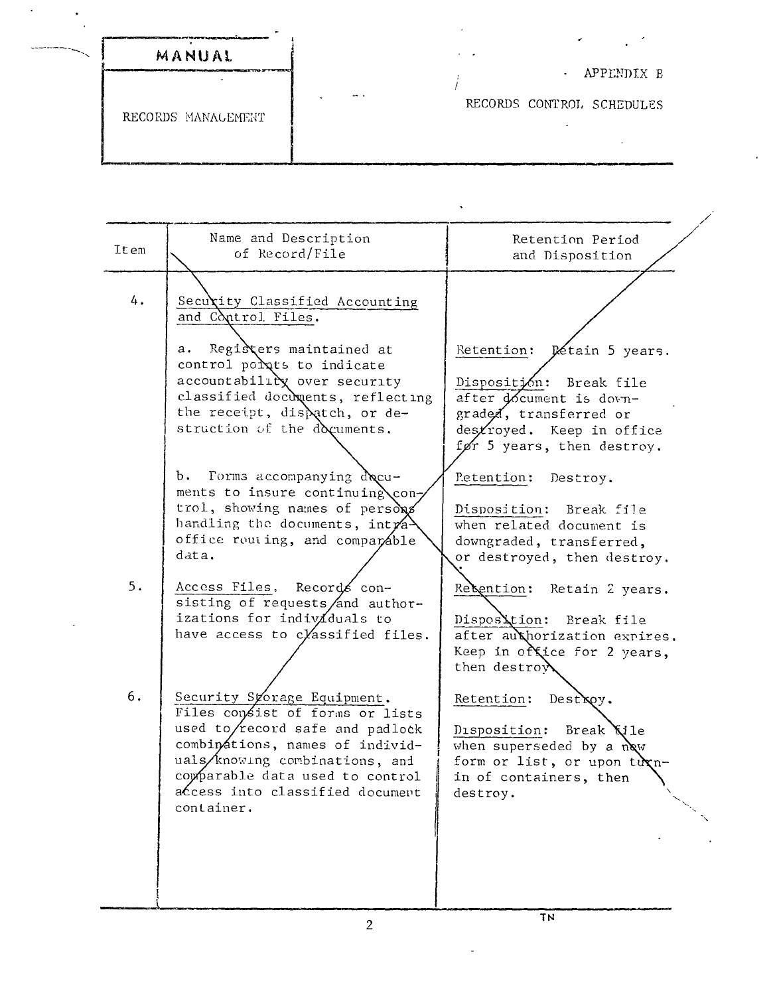| MANUAL             |                                            |
|--------------------|--------------------------------------------|
|                    | APPENDIX B<br>$\sim 100$                   |
| RECORDS MANAGEMENT | $\rightarrow$<br>RECORDS CONTROL SCHEDULES |

| Item  | Name and Description<br>of Record/File                                                                                                                                                                                                                     | Retention Period<br>and Disposition                                                                                                                                   |
|-------|------------------------------------------------------------------------------------------------------------------------------------------------------------------------------------------------------------------------------------------------------------|-----------------------------------------------------------------------------------------------------------------------------------------------------------------------|
| $4$ . | Security Classified Accounting<br>and Control Files.                                                                                                                                                                                                       |                                                                                                                                                                       |
|       | Registers maintained at<br>а.<br>control polats to indicate<br>accountability over security<br>classified documents, reflecting<br>the receipt, dispatch, or de-<br>struction of the documents.                                                            | Retention: Détain 5 years.<br>Disposition: Break file<br>after document is down-<br>graded, transferred or<br>destroyed. Keep in office<br>før 5 years, then destroy. |
|       | b. Forms accompanying docu-<br>ments to insure continuing con-<br>trol, showing names of persons<br>handling the documents, int $r_4$<br>office routing, and comparable<br>data.                                                                           | Petention:<br>Destroy.<br>Disposition: Break file<br>when related document is<br>downgraded, transferred,<br>or destroyed, then destroy.                              |
| 5.    | Access Files, Records con-<br>sisting of requests/and author-<br>izations for individuals to<br>have access to classified files.                                                                                                                           | Recention:<br>Retain 2 years.<br>Disposition: Break file<br>after authorization expires.<br>Keep in office for 2 years,<br>then destroy                               |
| 6.    | Security Syorage Equipment.<br>Files consist of forms or lists<br>used to/record safe and padlock<br>combinations, names of individ-<br>uals/knowing combinations, and<br>comparable data used to control<br>access into classified document<br>container. | Retention:<br>Dest <b>Koy.</b><br>Disposition:<br>Break <b>Kile</b><br>when superseded by a new<br>form or list, or upon turn-<br>in of containers, then<br>destroy.  |
|       |                                                                                                                                                                                                                                                            | TN                                                                                                                                                                    |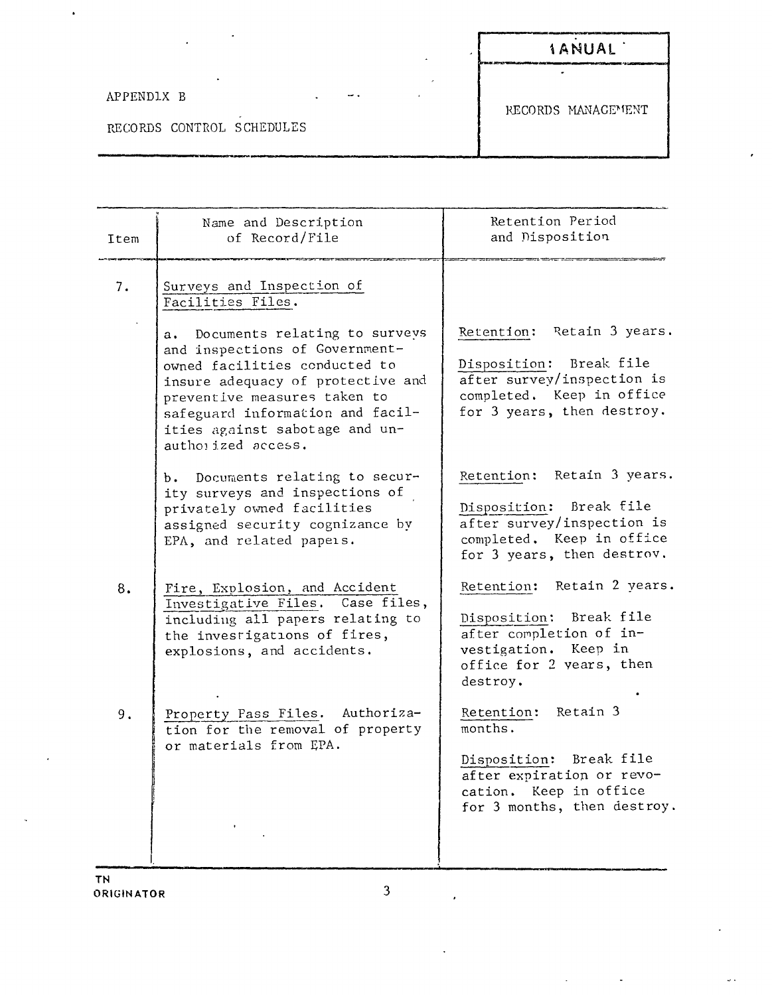## APPENDIX B

 $\bullet$ 

# **1 ANUAL**

RECORDS CONTROL SCHEDULES

RECORDS MANAGEMENT

 $\ddot{\phantom{a}}$ 

| Item | Name and Description<br>of Record/File                                                                                                                                                                                                                                                                                                                                  | Retention Period<br>and Disposition                                                                                                                                             |
|------|-------------------------------------------------------------------------------------------------------------------------------------------------------------------------------------------------------------------------------------------------------------------------------------------------------------------------------------------------------------------------|---------------------------------------------------------------------------------------------------------------------------------------------------------------------------------|
| 7.   | Surveys and Inspection of<br>Facilities Files.<br>Documents relating to surveys<br>$a_{\bullet}$<br>and inspections of Government-<br>owned facilities conducted to<br>insure adequacy of protective and<br>preventive measures taken to<br>safeguard information and facil-<br>ities against sabotage and un-<br>authorized access.<br>b. Documents relating to secur- | Retention: Retain 3 years.<br>Break file<br>Disposition:<br>after survey/inspection is<br>completed. Keep in office<br>for 3 years, then destroy.<br>Retention: Retain 3 years. |
|      | ity surveys and inspections of<br>privately owned facilities<br>assigned security cognizance by<br>EPA, and related papers.                                                                                                                                                                                                                                             | Disposition: Break file<br>after survey/inspection is<br>completed. Keep in office<br>for 3 years, then destrov.                                                                |
| 8.   | Fire, Explosion, and Accident<br>Investigative Files. Case files,<br>including all papers relating to<br>the investigations of fires,<br>explosions, and accidents.                                                                                                                                                                                                     | Retention: Retain 2 years.<br>Disposition: Break file<br>after completion of in-<br>vestigation. Keep in<br>office for 2 years, then<br>destroy.                                |
| 9.   | Property Pass Files. Authoriza-<br>tion for the removal of property<br>or materials from EPA.                                                                                                                                                                                                                                                                           | Retention: Retain 3<br>months.<br>Disposition: Break file<br>after expiration or revo-<br>cation. Keep in office<br>for 3 months, then destroy.                                 |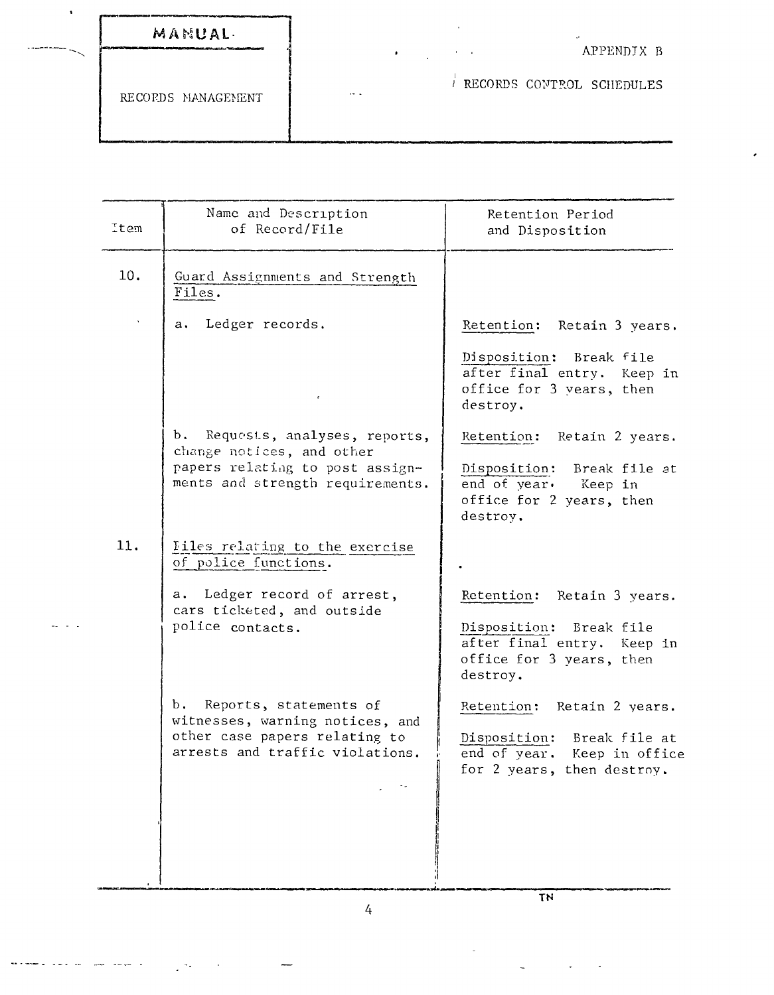| MANUAL-<br>المروات الأنفي المراكب التي المراكب المراكب المناطق المائية المراكبة |          | $\sim$ | APPENDIX B                |
|---------------------------------------------------------------------------------|----------|--------|---------------------------|
| RECORDS MANAGEMENT                                                              | $\cdots$ |        | RECORDS CONTROL SCHEDULES |

| Item | Name and Description<br>of Record/File                                                                                                  | Retention Period<br>and Disposition                                                                                         |
|------|-----------------------------------------------------------------------------------------------------------------------------------------|-----------------------------------------------------------------------------------------------------------------------------|
| 10.  | Guard Assignments and Strength<br>Files.                                                                                                |                                                                                                                             |
|      | Ledger records.<br>$\mathbf{a}$ .                                                                                                       | Retention: Retain 3 years.<br>Disposition: Break file<br>after final entry. Keep in<br>office for 3 years, then<br>destroy. |
|      | b.<br>Requests, analyses, reports,<br>change notices, and other<br>papers relating to post assign-<br>ments and strength requirements.  | Retention: Retain 2 years.<br>Disposition:<br>Break file at<br>end of year. Keep in<br>office for 2 years, then<br>destroy. |
| 11.  | Iiles relating to the exercise<br>of police functions.<br>a. Ledger record of arrest,<br>cars ticketed, and outside<br>police contacts. | Retention: Retain 3 years.<br>Disposition: Break file<br>after final entry. Keep in<br>office for 3 years, then<br>destroy. |
|      | Ъ.<br>Reports, statements of<br>witnesses, warning notices, and<br>other case papers relating to<br>arrests and traffic violations.     | Retention: Retain 2 years.<br>Disposition: Break file at<br>end of year. Keep in office<br>for 2 years, then destroy.       |

4

**----------------\_.\_--------.--,------------------------------- TN**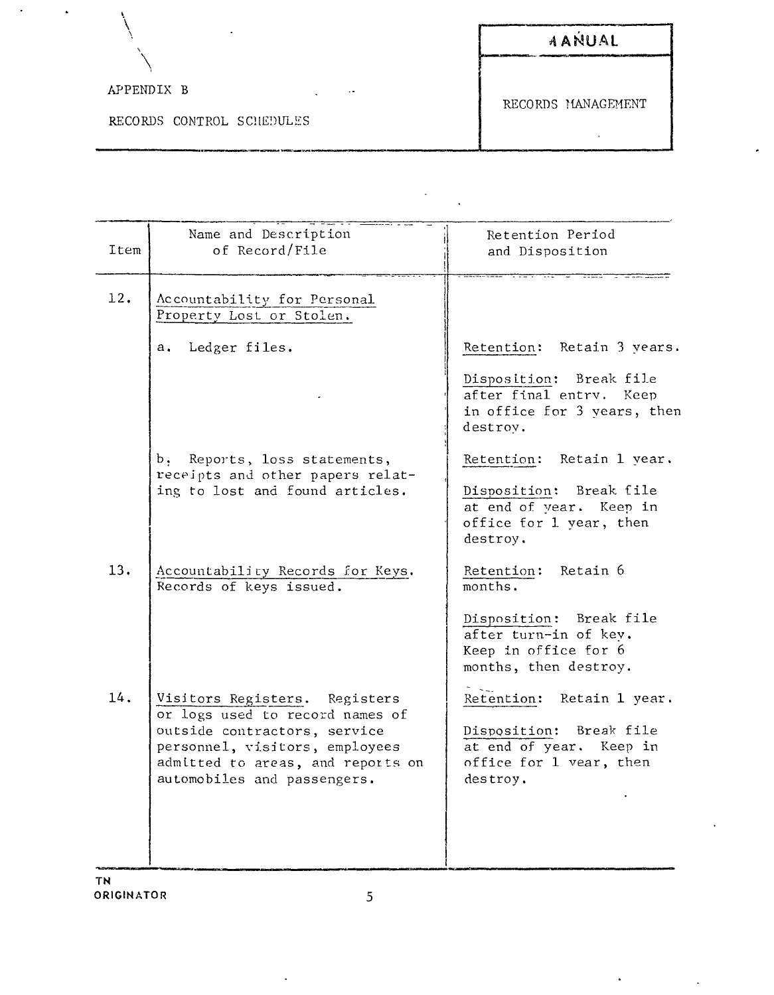|                           | AANUAL             |
|---------------------------|--------------------|
| APPENDIX B<br>$\cdot$ .   | RECORDS MANAGEMENT |
| RECORDS CONTROL SCHEDULES |                    |

l,

| Item | Name and Description<br>of Record/File                                                                                                                                                                 | Retention Period<br>and Disposition                                                                                                                                                                                         |
|------|--------------------------------------------------------------------------------------------------------------------------------------------------------------------------------------------------------|-----------------------------------------------------------------------------------------------------------------------------------------------------------------------------------------------------------------------------|
| 12.  | Accountability for Personal<br>Property Lost or Stolen.                                                                                                                                                |                                                                                                                                                                                                                             |
|      | a. Ledger files.                                                                                                                                                                                       | Retention: Retain 3 years.                                                                                                                                                                                                  |
|      |                                                                                                                                                                                                        | Disposition: Break file<br>after final entry. Keep<br>in office for 3 years, then<br>destrov.                                                                                                                               |
|      | b, Reports, loss statements,<br>receipts and other papers relat-                                                                                                                                       | Retention: Retain 1 year.                                                                                                                                                                                                   |
|      | ing to lost and found articles.                                                                                                                                                                        | Disposition: Break file<br>at end of year. Keep in<br>office for 1 year, then<br>destroy.                                                                                                                                   |
| 13.  | Accountability Records for Keys.<br>Records of keys issued.                                                                                                                                            | Retention: Retain 6<br>months.                                                                                                                                                                                              |
| 14.  | Visitors Registers. Registers<br>or logs used to record names of<br>outside contractors, service<br>personnel, visitors, employees<br>admitted to areas, and reports on<br>automobiles and passengers. | Disposition: Break file<br>after turn-in of kev.<br>Keep in office for 6<br>months, then destroy.<br>Retention: Retain 1 year.<br>Disposition: Break file<br>at end of year. Keep in<br>office for 1 vear, then<br>destroy. |
|      |                                                                                                                                                                                                        |                                                                                                                                                                                                                             |

 $\bullet$ 

 $\hat{\mathbf{r}}$ 

 $\overline{\phantom{a}}$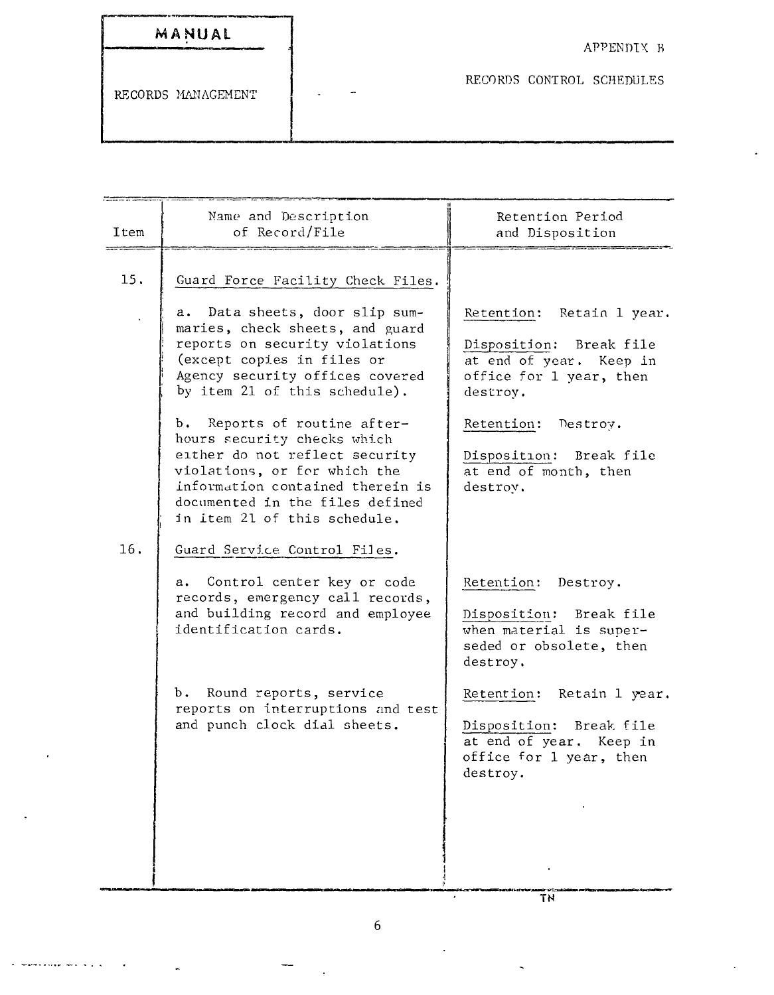| MANUAL |  |  |  |
|--------|--|--|--|
|        |  |  |  |

measured a complete service of the

RECORDS CONTROL SCHEDULES

| Item | Name and Description<br>of Record/File                                                                                                                                                                                               | Retention Period<br>and Disposition                                                                                       |
|------|--------------------------------------------------------------------------------------------------------------------------------------------------------------------------------------------------------------------------------------|---------------------------------------------------------------------------------------------------------------------------|
| 15.  | Guard Force Facility Check Files.                                                                                                                                                                                                    |                                                                                                                           |
|      | Data sheets, door slip sum-<br>a.<br>maries, check sheets, and guard<br>reports on security violations<br>(except copies in files or<br>Agency security offices covered<br>by item 21 of this schedule).                             | Retention: Retain 1 year.<br>Disposition: Break file<br>at end of year. Keep in<br>office for 1 year, then<br>destroy.    |
|      | b. Reports of routine after-<br>hours security checks which<br>either do not reflect security<br>violations, or for which the<br>information contained therein is<br>documented in the files defined<br>in item 21 of this schedule. | Retention: Destroy.<br>Break file<br>Disposition:<br>at end of month, then<br>destroy.                                    |
| 16.  | Guard Service Control Files.                                                                                                                                                                                                         |                                                                                                                           |
|      | a. Control center key or code<br>records, emergency call records,<br>and building record and employee<br>identification cards.                                                                                                       | Retention: Destroy.<br>Disposition: Break file<br>when material is super-<br>seded or obsolete, then<br>destroy.          |
|      | b. Round reports, service<br>reports on interruptions and test<br>and punch clock dial sheets.                                                                                                                                       | Retention: Retain 1 year.<br>Disposition:<br>Break file<br>at end of year. Keep in<br>office for 1 year, then<br>destroy. |

 $\overline{a}$ 

 $\overline{T}N$ 

 $\mathbf{r}$ 

Ţ

 $\ddot{\phantom{a}}$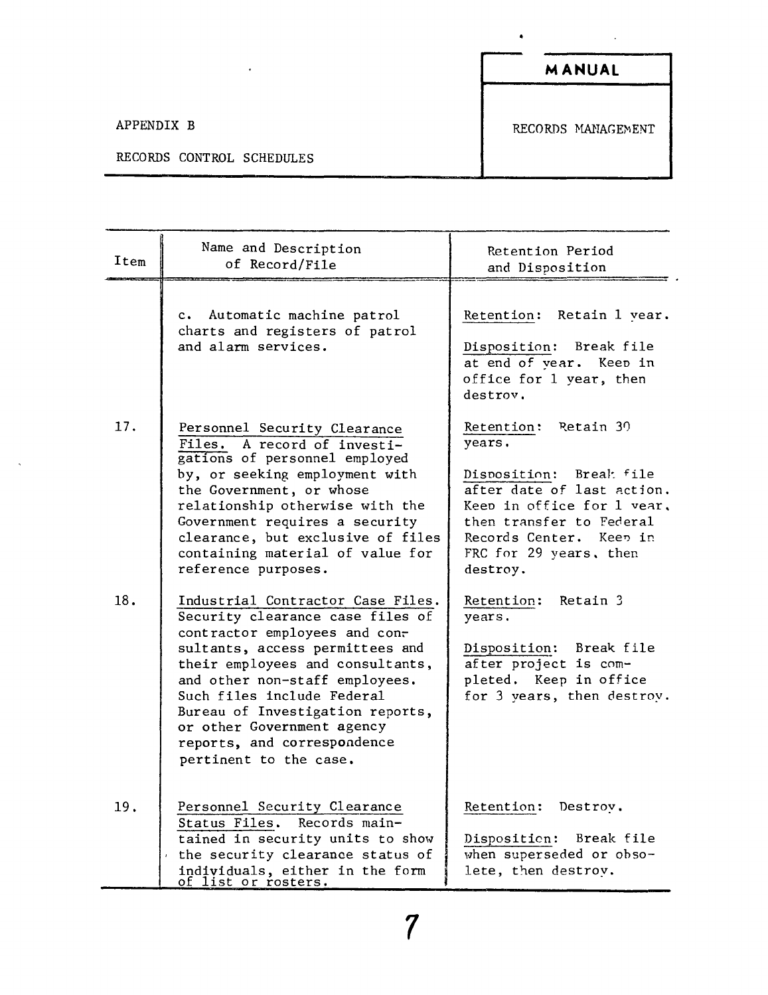$\mathcal{A}$ 

 $\bullet$ 

APPENDIX B RECORDS MANAGEMENT

### RECORDS CONTROL SCHEDULES

 $\overline{\phantom{a}}$ 

| Item | Name and Description<br>of Record/File                                                                                                                                                                                                                                                                                                                                   | Retention Period<br>and Disposition                                                                                                                                                                                |
|------|--------------------------------------------------------------------------------------------------------------------------------------------------------------------------------------------------------------------------------------------------------------------------------------------------------------------------------------------------------------------------|--------------------------------------------------------------------------------------------------------------------------------------------------------------------------------------------------------------------|
|      | c. Automatic machine patrol<br>charts and registers of patrol<br>and alarm services.                                                                                                                                                                                                                                                                                     | Retention: Retain 1 vear.<br>Disposition: Break file<br>at end of year. Keep in<br>office for 1 year, then<br>destrov.                                                                                             |
| 17.  | Personnel Security Clearance<br>Files. A record of investi-<br>gations of personnel employed<br>by, or seeking employment with<br>the Government, or whose<br>relationship otherwise with the<br>Government requires a security<br>clearance, but exclusive of files<br>containing material of value for<br>reference purposes.                                          | Retention: Retain 30<br>years.<br>Disposition: Break file<br>after date of last action.<br>Keep in office for 1 year,<br>then transfer to Federal<br>Records Center. Keep in<br>FRC for 29 years, then<br>destroy. |
| 18.  | Industrial Contractor Case Files.<br>Security clearance case files of<br>contractor employees and con-<br>sultants, access permittees and<br>their employees and consultants,<br>and other non-staff employees.<br>Such files include Federal<br>Bureau of Investigation reports,<br>or other Government agency<br>reports, and correspondence<br>pertinent to the case. | Retain 3<br>Retention:<br>years.<br>Disposition: Break file<br>after project is com-<br>pleted. Keep in office<br>for 3 years, then destroy.                                                                       |
| 19.  | Personnel Security Clearance<br>Status Files. Records main-<br>tained in security units to show<br>the security clearance status of<br>individuals, either in the form<br><u>of list or rosters.</u>                                                                                                                                                                     | Retention:<br>Destrov.<br>Disposition: Break file<br>when superseded or obso-<br>lete, then destroy.                                                                                                               |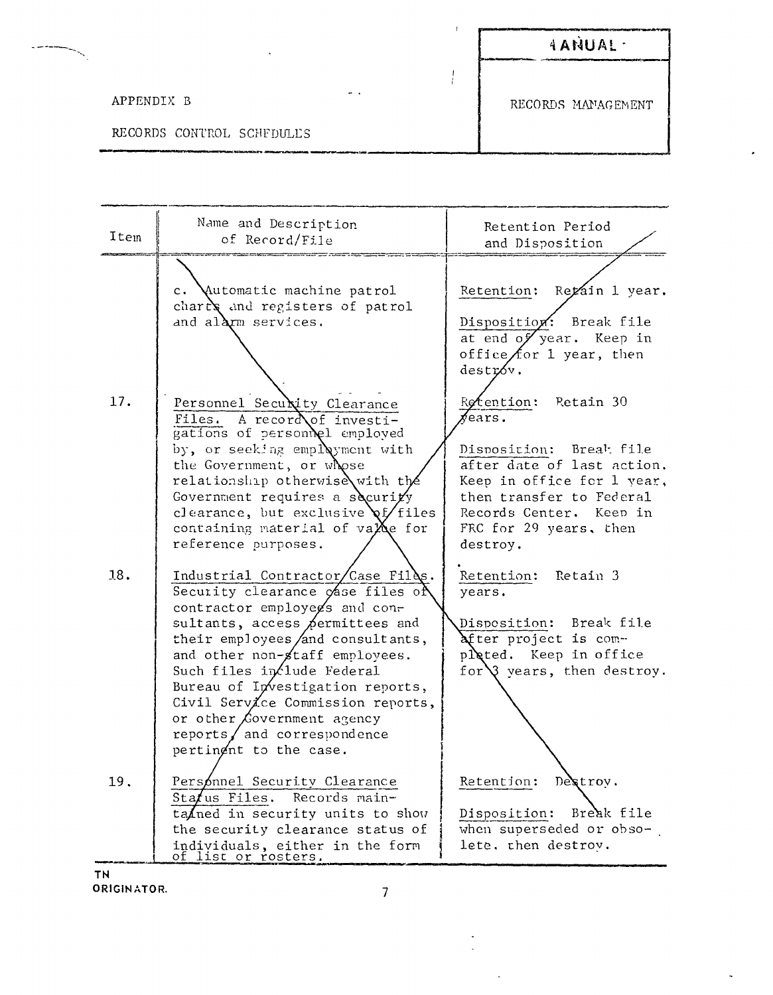$\boldsymbol{I}$ 

 $\frac{1}{l}$ 

### APPENDIX B

 $\overline{\phantom{a}}$ 

RECORDS CONTROL SCHFDULES

RECORDS MANAGEMENT

| Item | Name and Description<br>of Record/File                                                                                                                                                                                                                                                                                                                                                                            | Retention Period<br>and Disposition                                                                                                                                                                                      |
|------|-------------------------------------------------------------------------------------------------------------------------------------------------------------------------------------------------------------------------------------------------------------------------------------------------------------------------------------------------------------------------------------------------------------------|--------------------------------------------------------------------------------------------------------------------------------------------------------------------------------------------------------------------------|
|      | c. Mutomatic machine patrol<br>charry and registers of patrol<br>and alarm services.                                                                                                                                                                                                                                                                                                                              | Retention: Regain 1 year.<br>Disposition: Break file<br>at end of year. Keep in<br>office $f$ or 1 year, then<br>destróv.                                                                                                |
| 17.  | Personnel Security Clearance<br>A recordof investi-<br>Files.<br>gations of personnel employed<br>by, or seeking employment with<br>the Government, or whose<br>relationship otherwise with the<br>Government requires a security<br>clearance, but exclusive $\chi$ files<br>containing material of $vaXe$ for<br>reference purposes.                                                                            | Retention: Retain 30<br>$\chi$ ears.<br>Disposition: Break file<br>after date of last action.<br>Keep in office for 1 year,<br>then transfer to Federal<br>Records Center. Keep in<br>FRC for 29 years, then<br>destroy. |
| 18.  | Industrial Contractor/Case Files.<br>Security clearance gase files of<br>contractor employegs and con-<br>sultants, access permittees and<br>their employees and consultants,<br>and other non-staff employees.<br>Such files in flude Federal<br>Bureau of Investigation reports,<br>Civil Service Commission reports,<br>or other Covernment agency<br>reports $/$ and correspondence<br>pertingnt to the case. | Retention: Retain 3<br>years.<br>Disposition: Break file<br>After project is com-<br>pleted. Keep in office<br>for $\sqrt{3}$ years, then destroy.                                                                       |
| 19.  | Personnel Security Clearance<br>Status Files. Records main-<br>tained in security units to show<br>the security clearance status of<br>individuals, either in the form<br>of list or rosters.                                                                                                                                                                                                                     | Retention: Destroy.<br>Disposition: Break file<br>when superseded or obso-<br>lete. then destrov.                                                                                                                        |

**TN** ORIGINATOR.

 $\overline{7}$ 

 $\bullet$  $\mathbb{I}$ 

 $\ddot{\phantom{1}}$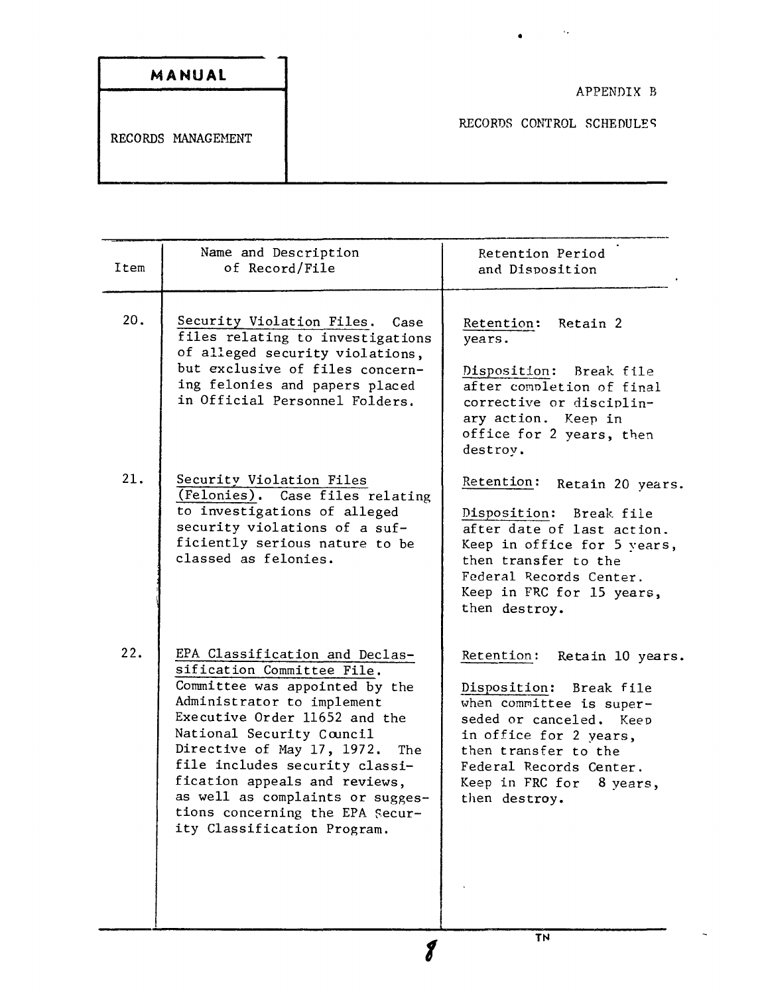| MANUAL             |
|--------------------|
|                    |
| RECORDS MANAGEMENT |

Ġ,

ă

| Item | Name and Description<br>of Record/File                                                                                                                                                                                                                                                                                                                                                                   | Retention Period<br>and Disposition                                                                                                                                                                                                           |
|------|----------------------------------------------------------------------------------------------------------------------------------------------------------------------------------------------------------------------------------------------------------------------------------------------------------------------------------------------------------------------------------------------------------|-----------------------------------------------------------------------------------------------------------------------------------------------------------------------------------------------------------------------------------------------|
| 20.  | Security Violation Files. Case<br>files relating to investigations<br>of alleged security violations,<br>but exclusive of files concern-<br>ing felonies and papers placed<br>in Official Personnel Folders.                                                                                                                                                                                             | Retention: Retain 2<br>years.<br>Disposition: Break file<br>after completion of final<br>corrective or disciplin-<br>ary action. Keep in<br>office for 2 years, then<br>destroy.                                                              |
| 21.  | Security Violation Files<br>(Felonies). Case files relating<br>to investigations of alleged<br>security violations of a suf-<br>ficiently serious nature to be<br>classed as felonies.                                                                                                                                                                                                                   | Retention:<br>Retain 20 years.<br>Disposition:<br>Break file<br>after date of last action.<br>Keep in office for 5 years,<br>then transfer to the<br>Federal Records Center.<br>Keep in FRC for 15 years,<br>then destroy.                    |
| 22.  | EPA Classification and Declas-<br>sification Committee File.<br>Committee was appointed by the<br>Administrator to implement<br>Executive Order 11652 and the<br>National Security Council<br>Directive of May 17, 1972.<br>The<br>file includes security classi-<br>fication appeals and reviews,<br>as well as complaints or sugges-<br>tions concerning the EPA Secur-<br>ity Classification Program. | Retention:<br>Retain 10 years.<br>Disposition:<br>Break file<br>when committee is super-<br>seded or canceled. Keep<br>in office for 2 years,<br>then transfer to the<br>Federal Records Center.<br>Keep in FRC for 8 years,<br>then destroy. |

*f* **TN**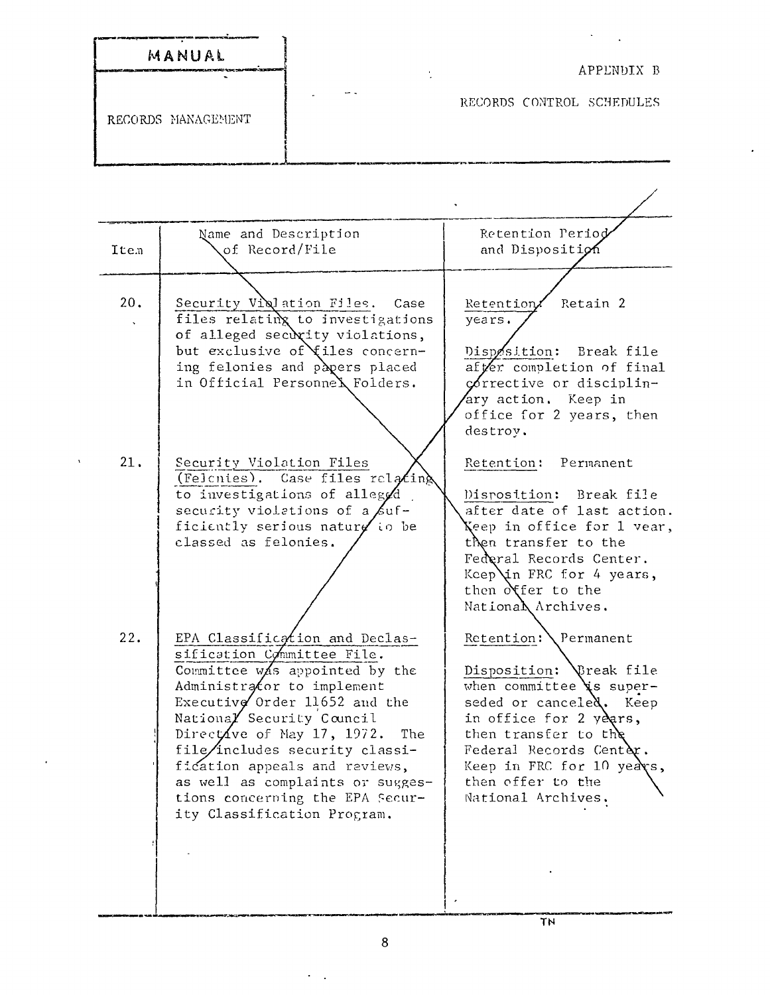| MANUAL<br>しゃくかい かいせいし アマンドスク ウェット・セット せきかえ こうか はっぱっしゃか | APPLNDIX B                                            |
|--------------------------------------------------------|-------------------------------------------------------|
| RECORDS MANAGEMENT                                     | $\overline{\phantom{a}}$<br>RECORDS CONTROL SCHEDULES |

| Item | Name and Description<br>of Record/File                                                                                                                                                                                                                                                                                                                                                                   | Retention Period<br>and Disposition                                                                                                                                                                                                                                |
|------|----------------------------------------------------------------------------------------------------------------------------------------------------------------------------------------------------------------------------------------------------------------------------------------------------------------------------------------------------------------------------------------------------------|--------------------------------------------------------------------------------------------------------------------------------------------------------------------------------------------------------------------------------------------------------------------|
| 20.  | Security Violation Files. Case<br>files relating to investigations<br>of alleged security violations,<br>but exclusive of files concern-<br>ing felonies and papers placed<br>in Official Personnel Folders.                                                                                                                                                                                             | Retention/ Retain 2<br>years.<br>Disposition:<br>Break file<br>after completion of final<br>corrective or disciplin-<br>ary action. Keep in<br>office for 2 years, then<br>destroy.                                                                                |
| 21.  | Security Violation Files<br>(Felcnies). Case files relating<br>to investigations of alleggd<br>security violations of a $\beta$ uf-<br>ficiently serious nature to be<br>classed as felonies.                                                                                                                                                                                                            | Retention: Permanent<br>Disposition: Break file<br>after date of last action.<br>Xeep in office for 1 vear,<br>then transfer to the<br>Federal Records Center.<br>Keep in FRC for 4 years,<br>then offer to the<br>National Archives.                              |
| 22.  | EPA Classification and Declas-<br>sification Committee File.<br>Committee was appointed by the<br>Administrator to implement<br>Executive Order 11652 and the<br>National Security Council<br>Directive of May 17, 1972.<br>The<br>file/includes security classi-<br>fication appeals and reviews,<br>as well as complaints or sugges-<br>tions concerping the EPA Secur-<br>ity Classification Program. | Retention: Permanent<br>Disposition: \Treak file<br>when committee $\chi$ s super-<br>seded or canceled. Keep<br>in office for 2 years,<br>then transfer to the<br>Federal Records Center.<br>Keep in FRC for 10 years,<br>then offer to the<br>National Archives. |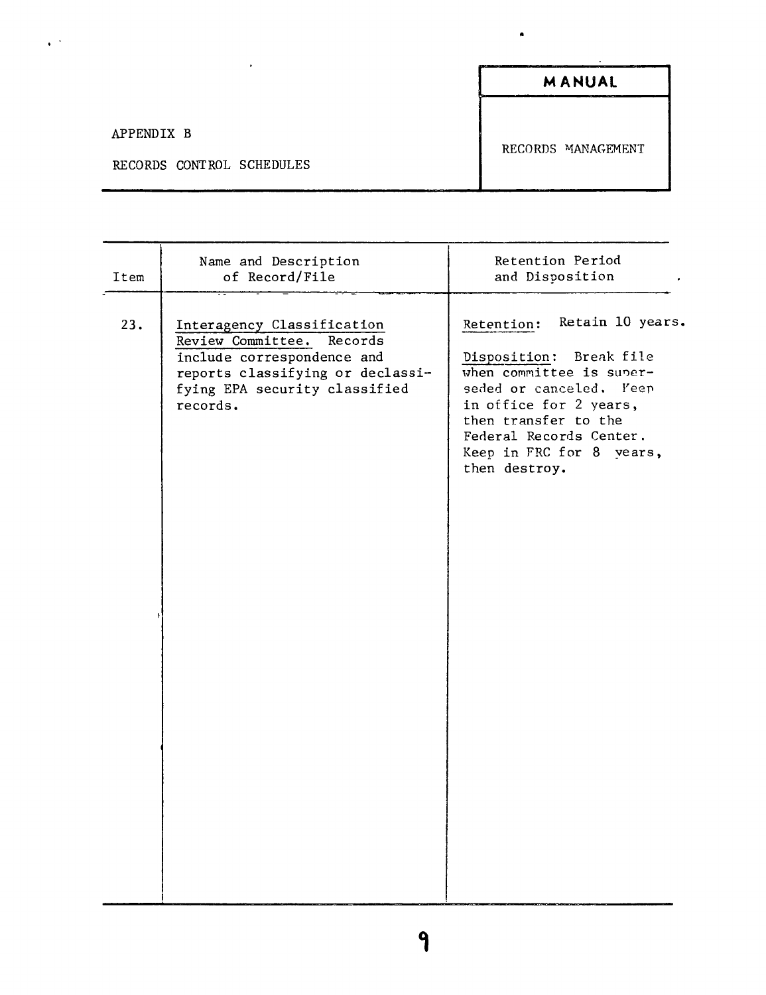|                                         | <b>MANUAL</b>      |
|-----------------------------------------|--------------------|
| APPENDIX B<br>RECORDS CONTROL SCHEDULES | RECORDS MANAGEMENT |

 $\ddot{\phantom{1}}$ 

| Retain 10 years.<br>23.<br>Retention:<br>Interagency Classification<br>Review Committee.<br>Records<br>Break file<br>include correspondence and<br>Disposition:<br>when committee is super-<br>reports classifying or declassi-<br>seded or canceled. Yeen<br>fying EPA security classified<br>in office for 2 years,<br>records.<br>then transfer to the<br>Federal Records Center.<br>Keep in FRC for 8 years,<br>then destroy. | Item | Name and Description<br>of Record/File | Retention Period<br>and Disposition |
|-----------------------------------------------------------------------------------------------------------------------------------------------------------------------------------------------------------------------------------------------------------------------------------------------------------------------------------------------------------------------------------------------------------------------------------|------|----------------------------------------|-------------------------------------|
|                                                                                                                                                                                                                                                                                                                                                                                                                                   |      |                                        |                                     |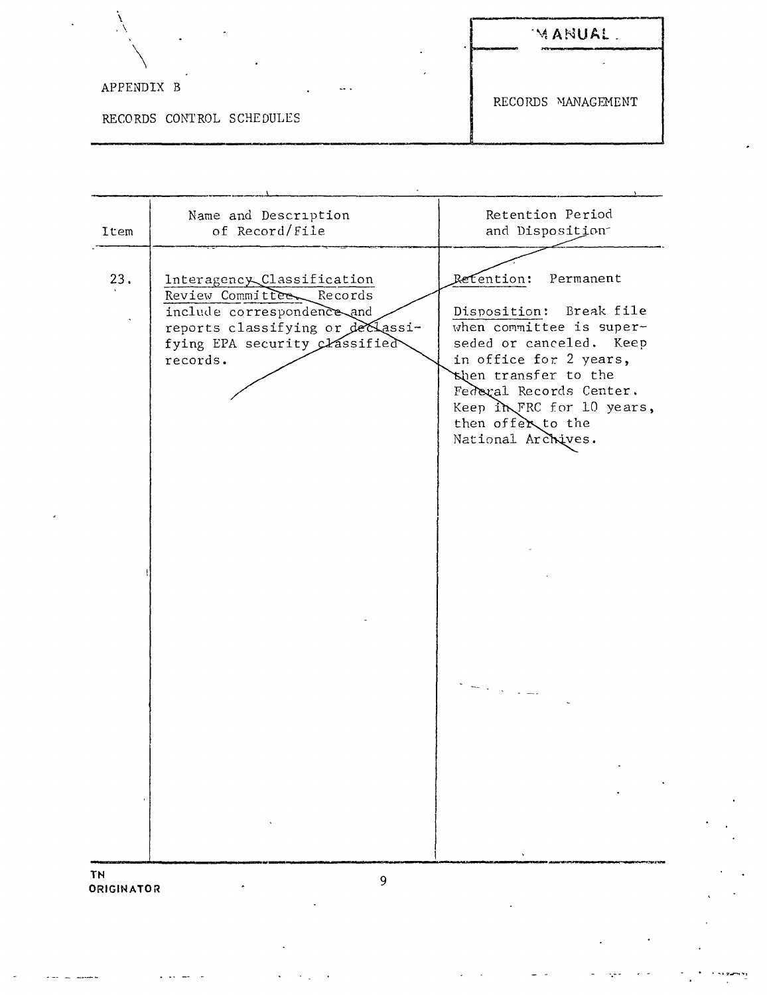|                           | MANUAL<br>200000000<br>___ |
|---------------------------|----------------------------|
| APPENDIX B<br>$-1$        | RECORDS MANAGEMENT         |
| RECORDS CONTROL SCHEDULES |                            |

 $\ddot{\phantom{0}}$ 

 $\bar{\mathcal{L}}$ 

 $\Box$  .

| Item                           | Name and Description<br>of Record/File                                                                                                                                | Retention Period<br>and Disposition                                                                                                                                                                                                                                                                                                                                                                                                                                                                                                                                                                                                                                |
|--------------------------------|-----------------------------------------------------------------------------------------------------------------------------------------------------------------------|--------------------------------------------------------------------------------------------------------------------------------------------------------------------------------------------------------------------------------------------------------------------------------------------------------------------------------------------------------------------------------------------------------------------------------------------------------------------------------------------------------------------------------------------------------------------------------------------------------------------------------------------------------------------|
| 23.                            | Interagency Classification<br>Review Committee Records<br>include correspondence and<br>reports classifying or declassi-<br>fying EPA security Classified<br>records. | Retention:<br>Permanent<br>Disposition: Break file<br>when committee is super-<br>seded or canceled. Keep<br>in office for 2 years,<br>then transfer to the<br>Federal Records Center.<br>Keep in FRC for 10 years,<br>then offer to the<br>National Archives.<br>$\frac{1}{2} \frac{1}{2} \left( \frac{1}{2} \frac{1}{2} \right) \frac{1}{2} \frac{1}{2} \frac{1}{2} \frac{1}{2} \frac{1}{2} \frac{1}{2} \frac{1}{2} \frac{1}{2} \frac{1}{2} \frac{1}{2} \frac{1}{2} \frac{1}{2} \frac{1}{2} \frac{1}{2} \frac{1}{2} \frac{1}{2} \frac{1}{2} \frac{1}{2} \frac{1}{2} \frac{1}{2} \frac{1}{2} \frac{1}{2} \frac{1}{2} \frac{1}{2} \frac{1}{2} \frac{1}{2} \frac{1$ |
| <b>TN</b><br><b>ORIGINATOR</b> | 9                                                                                                                                                                     |                                                                                                                                                                                                                                                                                                                                                                                                                                                                                                                                                                                                                                                                    |

 $\mathcal{O}(\mathcal{C})$ 

Ŷ,

l,

i sezamiy